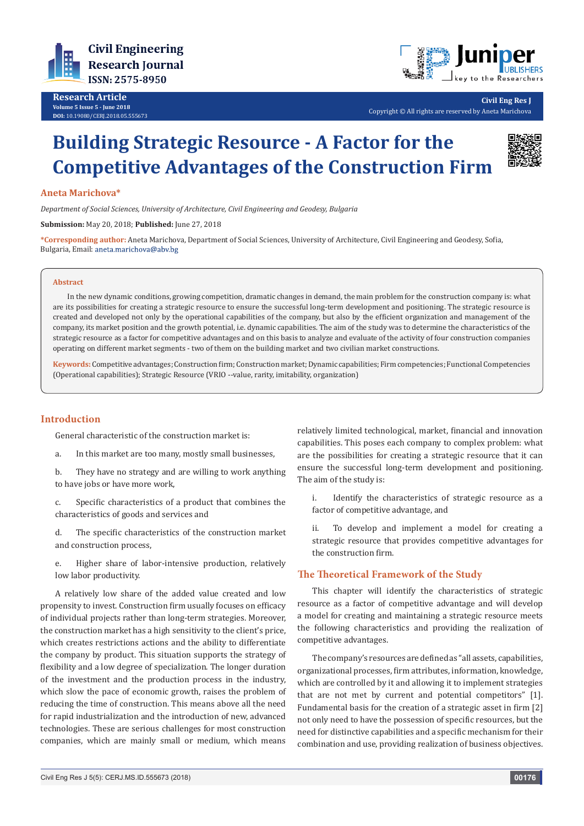



**Civil Eng Res J** Copyright © All rights are reserved by Aneta Marichova

# **Building Strategic Resource - A Factor for the Competitive Advantages of the Construction Firm**



# **Aneta Marichova\***

*Department of Social Sciences, University of Architecture, Civil Engineering and Geodesy, Bulgaria*

**Submission:** May 20, 2018; **Published:** June 27, 2018

**\*Corresponding author:** Aneta Marichova, Department of Social Sciences, University of Architecture, Civil Engineering and Geodesy, Sofia, Bulgaria, Email: aneta.marichova@abv.bg

#### **Abstract**

In the new dynamic conditions, growing competition, dramatic changes in demand, the main problem for the construction company is: what are its possibilities for creating a strategic resource to ensure the successful long-term development and positioning. The strategic resource is created and developed not only by the operational capabilities of the company, but also by the efficient organization and management of the company, its market position and the growth potential, i.e. dynamic capabilities. The aim of the study was to determine the characteristics of the strategic resource as a factor for competitive advantages and on this basis to analyze and evaluate of the activity of four construction companies operating on different market segments - two of them on the building market and two civilian market constructions.

**Keywords:** Competitive advantages; Construction firm; Construction market; Dynamic capabilities; Firm competencies; Functional Competencies (Operational capabilities); Strategic Resource (VRIO --value, rarity, imitability, organization)

# **Introduction**

General characteristic of the construction market is:

a. In this market are too many, mostly small businesses,

b. They have no strategy and are willing to work anything to have jobs or have more work,

c. Specific characteristics of a product that combines the characteristics of goods and services and

d. The specific characteristics of the construction market and construction process,

e. Higher share of labor-intensive production, relatively low labor productivity.

A relatively low share of the added value created and low propensity to invest. Construction firm usually focuses on efficacy of individual projects rather than long-term strategies. Moreover, the construction market has a high sensitivity to the client's price, which creates restrictions actions and the ability to differentiate the company by product. This situation supports the strategy of flexibility and a low degree of specialization. The longer duration of the investment and the production process in the industry, which slow the pace of economic growth, raises the problem of reducing the time of construction. This means above all the need for rapid industrialization and the introduction of new, advanced technologies. These are serious challenges for most construction companies, which are mainly small or medium, which means

relatively limited technological, market, financial and innovation capabilities. This poses each company to complex problem: what are the possibilities for creating a strategic resource that it can ensure the successful long-term development and positioning. The aim of the study is:

i. Identify the characteristics of strategic resource as a factor of competitive advantage, and

ii. To develop and implement a model for creating a strategic resource that provides competitive advantages for the construction firm.

#### **The Theoretical Framework of the Study**

This chapter will identify the characteristics of strategic resource as a factor of competitive advantage and will develop a model for creating and maintaining a strategic resource meets the following characteristics and providing the realization of competitive advantages.

The company's resources are defined as "all assets, capabilities, organizational processes, firm attributes, information, knowledge, which are controlled by it and allowing it to implement strategies that are not met by current and potential competitors" [1]. Fundamental basis for the creation of a strategic asset in firm [2] not only need to have the possession of specific resources, but the need for distinctive capabilities and a specific mechanism for their combination and use, providing realization of business objectives.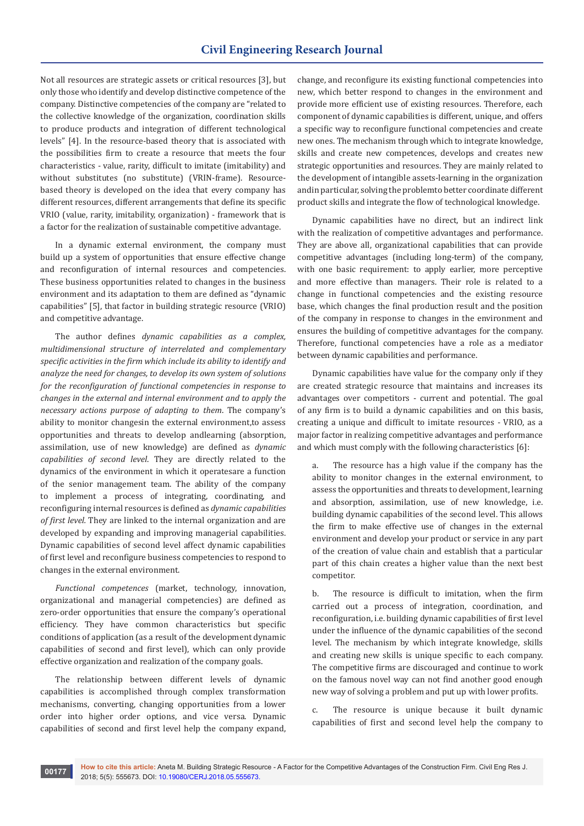Not all resources are strategic assets or critical resources [3], but only those who identify and develop distinctive competence of the company. Distinctive competencies of the company are "related to the collective knowledge of the organization, coordination skills to produce products and integration of different technological levels" [4]. In the resource-based theory that is associated with the possibilities firm to create a resource that meets the four characteristics - value, rarity, difficult to imitate (imitability) and without substitutes (no substitute) (VRIN-frame). Resourcebased theory is developed on the idea that every company has different resources, different arrangements that define its specific VRIO (value, rarity, imitability, organization) - framework that is a factor for the realization of sustainable competitive advantage.

In a dynamic external environment, the company must build up a system of opportunities that ensure effective change and reconfiguration of internal resources and competencies. These business opportunities related to changes in the business environment and its adaptation to them are defined as "dynamic capabilities" [5], that factor in building strategic resource (VRIO) and competitive advantage.

The author defines *dynamic capabilities as a complex, multidimensional structure of interrelated and complementary specific activities in the firm which include its ability to identify and analyze the need for changes, to develop its own system of solutions for the reconfiguration of functional competencies in response to changes in the external and internal environment and to apply the necessary actions purpose of adapting to them*. The company's ability to monitor changesin the external environment,to assess opportunities and threats to develop andlearning (absorption, assimilation, use of new knowledge) are defined as *dynamic capabilities of second level*. They are directly related to the dynamics of the environment in which it operatesare a function of the senior management team. The ability of the company to implement a process of integrating, coordinating, and reconfiguring internal resources is defined as *dynamic capabilities of first level.* They are linked to the internal organization and are developed by expanding and improving managerial capabilities. Dynamic capabilities of second level affect dynamic capabilities of first level and reconfigure business competencies to respond to changes in the external environment.

*Functional competences* (market, technology, innovation, organizational and managerial competencies) are defined as zero-order opportunities that ensure the company's operational efficiency. They have common characteristics but specific conditions of application (as a result of the development dynamic capabilities of second and first level), which can only provide effective organization and realization of the company goals.

The relationship between different levels of dynamic capabilities is accomplished through complex transformation mechanisms, converting, changing opportunities from a lower order into higher order options, and vice versa. Dynamic capabilities of second and first level help the company expand, change, and reconfigure its existing functional competencies into new, which better respond to changes in the environment and provide more efficient use of existing resources. Therefore, each component of dynamic capabilities is different, unique, and offers a specific way to reconfigure functional competencies and create new ones. The mechanism through which to integrate knowledge, skills and create new competences, develops and creates new strategic opportunities and resources. They are mainly related to the development of intangible assets-learning in the organization andin particular, solving the problemto better coordinate different product skills and integrate the flow of technological knowledge.

Dynamic capabilities have no direct, but an indirect link with the realization of competitive advantages and performance. They are above all, organizational capabilities that can provide competitive advantages (including long-term) of the company, with one basic requirement: to apply earlier, more perceptive and more effective than managers. Their role is related to a change in functional competencies and the existing resource base, which changes the final production result and the position of the company in response to changes in the environment and ensures the building of competitive advantages for the company. Therefore, functional competencies have a role as a mediator between dynamic capabilities and performance.

Dynamic capabilities have value for the company only if they are created strategic resource that maintains and increases its advantages over competitors - current and potential. The goal of any firm is to build a dynamic capabilities and on this basis, creating a unique and difficult to imitate resources - VRIO, as a major factor in realizing competitive advantages and performance and which must comply with the following characteristics [6]:

a. The resource has a high value if the company has the ability to monitor changes in the external environment, to assess the opportunities and threats to development, learning and absorption, assimilation, use of new knowledge, i.e. building dynamic capabilities of the second level. This allows the firm to make effective use of changes in the external environment and develop your product or service in any part of the creation of value chain and establish that a particular part of this chain creates a higher value than the next best competitor.

b. The resource is difficult to imitation, when the firm carried out a process of integration, coordination, and reconfiguration, i.e. building dynamic capabilities of first level under the influence of the dynamic capabilities of the second level. The mechanism by which integrate knowledge, skills and creating new skills is unique specific to each company. The competitive firms are discouraged and continue to work on the famous novel way can not find another good enough new way of solving a problem and put up with lower profits.

c. The resource is unique because it built dynamic capabilities of first and second level help the company to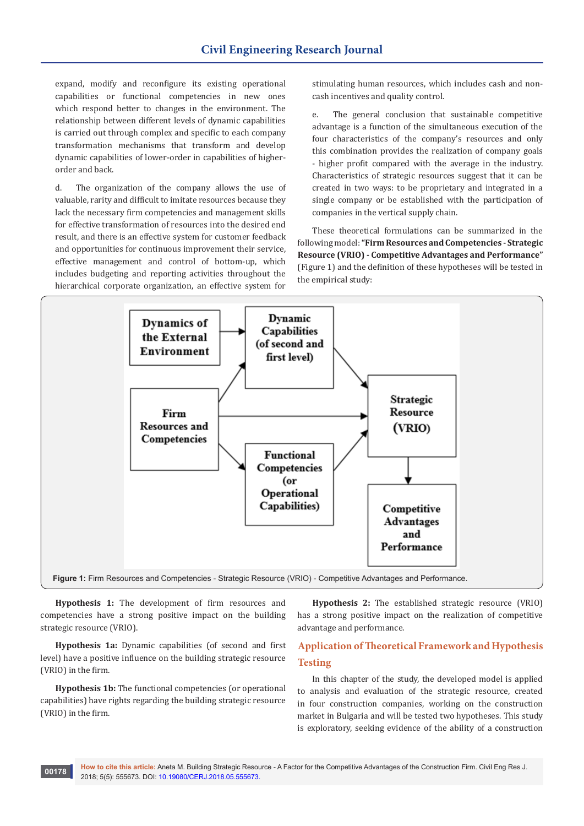expand, modify and reconfigure its existing operational capabilities or functional competencies in new ones which respond better to changes in the environment. The relationship between different levels of dynamic capabilities is carried out through complex and specific to each company transformation mechanisms that transform and develop dynamic capabilities of lower-order in capabilities of higherorder and back.

d. The organization of the company allows the use of valuable, rarity and difficult to imitate resources because they lack the necessary firm competencies and management skills for effective transformation of resources into the desired end result, and there is an effective system for customer feedback and opportunities for continuous improvement their service, effective management and control of bottom-up, which includes budgeting and reporting activities throughout the hierarchical corporate organization, an effective system for

stimulating human resources, which includes cash and noncash incentives and quality control.

e. The general conclusion that sustainable competitive advantage is a function of the simultaneous execution of the four characteristics of the company's resources and only this combination provides the realization of company goals - higher profit compared with the average in the industry. Characteristics of strategic resources suggest that it can be created in two ways: to be proprietary and integrated in a single company or be established with the participation of companies in the vertical supply chain.

These theoretical formulations can be summarized in the following model: **"Firm Resources and Competencies - Strategic Resource (VRIO) - Competitive Advantages and Performance"** (Figure 1) and the definition of these hypotheses will be tested in the empirical study:



**Hypothesis 1:** The development of firm resources and competencies have a strong positive impact on the building strategic resource (VRIO).

**Hypothesis 1a:** Dynamic capabilities (of second and first level) have a positive influence on the building strategic resource (VRIO) in the firm.

**Hypothesis 1b:** The functional competencies (or operational capabilities) have rights regarding the building strategic resource (VRIO) in the firm.

**Hypothesis 2:** The established strategic resource (VRIO) has a strong positive impact on the realization of competitive advantage and performance.

# **Application of Theoretical Framework and Hypothesis Testing**

In this chapter of the study, the developed model is applied to analysis and evaluation of the strategic resource, created in four construction companies, working on the construction market in Bulgaria and will be tested two hypotheses. This study is exploratory, seeking evidence of the ability of a construction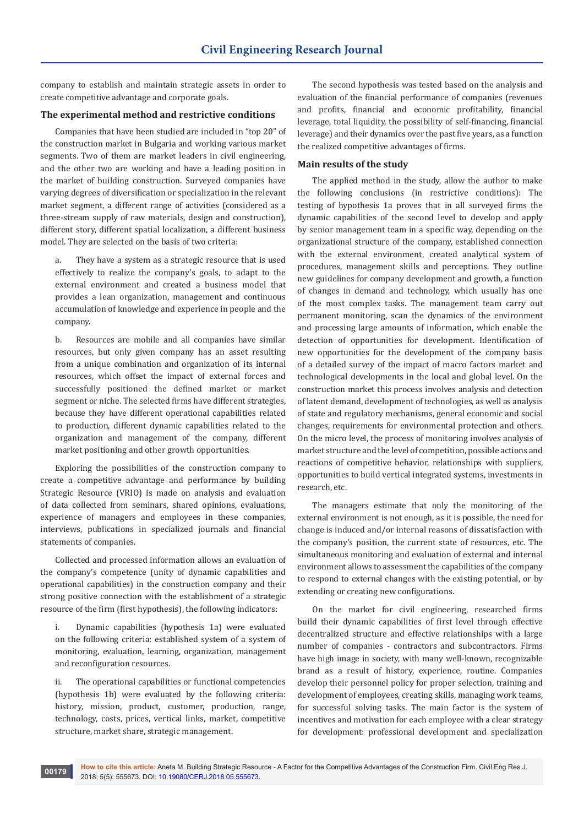company to establish and maintain strategic assets in order to create competitive advantage and corporate goals.

#### **The experimental method and restrictive conditions**

Companies that have been studied are included in "top 20" of the construction market in Bulgaria and working various market segments. Two of them are market leaders in civil engineering, and the other two are working and have a leading position in the market of building construction. Surveyed companies have varying degrees of diversification or specialization in the relevant market segment, a different range of activities (considered as a three-stream supply of raw materials, design and construction), different story, different spatial localization, a different business model. They are selected on the basis of two criteria:

a. They have a system as a strategic resource that is used effectively to realize the company's goals, to adapt to the external environment and created a business model that provides a lean organization, management and continuous accumulation of knowledge and experience in people and the company.

b. Resources are mobile and all companies have similar resources, but only given company has an asset resulting from a unique combination and organization of its internal resources, which offset the impact of external forces and successfully positioned the defined market or market segment or niche. The selected firms have different strategies, because they have different operational capabilities related to production, different dynamic capabilities related to the organization and management of the company, different market positioning and other growth opportunities.

Exploring the possibilities of the construction company to create a competitive advantage and performance by building Strategic Resource (VRIO) is made on analysis and evaluation of data collected from seminars, shared opinions, evaluations, experience of managers and employees in these companies, interviews, publications in specialized journals and financial statements of companies.

Collected and processed information allows an evaluation of the company's competence (unity of dynamic capabilities and operational capabilities) in the construction company and their strong positive connection with the establishment of a strategic resource of the firm (first hypothesis), the following indicators:

Dynamic capabilities (hypothesis 1a) were evaluated on the following criteria: established system of a system of monitoring, evaluation, learning, organization, management and reconfiguration resources.

ii. The operational capabilities or functional competencies (hypothesis 1b) were evaluated by the following criteria: history, mission, product, customer, production, range, technology, costs, prices, vertical links, market, competitive structure, market share, strategic management.

The second hypothesis was tested based on the analysis and evaluation of the financial performance of companies (revenues and profits, financial and economic profitability, financial leverage, total liquidity, the possibility of self-financing, financial leverage) and their dynamics over the past five years, as a function the realized competitive advantages of firms.

#### **Main results of the study**

The applied method in the study, allow the author to make the following conclusions (in restrictive conditions): The testing of hypothesis 1a proves that in all surveyed firms the dynamic capabilities of the second level to develop and apply by senior management team in a specific way, depending on the organizational structure of the company, established connection with the external environment, created analytical system of procedures, management skills and perceptions. They outline new guidelines for company development and growth, a function of changes in demand and technology, which usually has one of the most complex tasks. The management team carry out permanent monitoring, scan the dynamics of the environment and processing large amounts of information, which enable the detection of opportunities for development. Identification of new opportunities for the development of the company basis of a detailed survey of the impact of macro factors market and technological developments in the local and global level. On the construction market this process involves analysis and detection of latent demand, development of technologies, as well as analysis of state and regulatory mechanisms, general economic and social changes, requirements for environmental protection and others. On the micro level, the process of monitoring involves analysis of market structure and the level of competition, possible actions and reactions of competitive behavior, relationships with suppliers, opportunities to build vertical integrated systems, investments in research, etc.

The managers estimate that only the monitoring of the external environment is not enough, as it is possible, the need for change is induced and/or internal reasons of dissatisfaction with the company's position, the current state of resources, etc. The simultaneous monitoring and evaluation of external and internal environment allows to assessment the capabilities of the company to respond to external changes with the existing potential, or by extending or creating new configurations.

On the market for civil engineering, researched firms build their dynamic capabilities of first level through effective decentralized structure and effective relationships with a large number of companies - contractors and subcontractors. Firms have high image in society, with many well-known, recognizable brand as a result of history, experience, routine. Companies develop their personnel policy for proper selection, training and development of employees, creating skills, managing work teams, for successful solving tasks. The main factor is the system of incentives and motivation for each employee with a clear strategy for development: professional development and specialization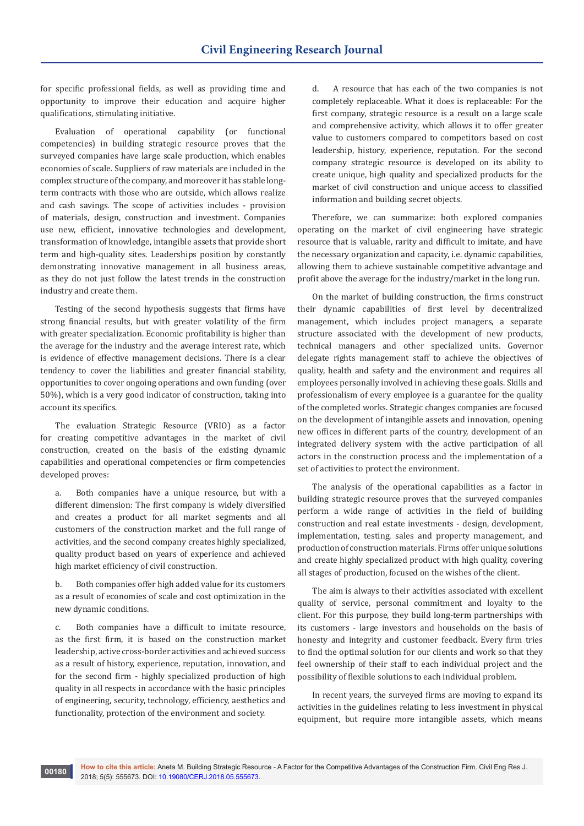for specific professional fields, as well as providing time and opportunity to improve their education and acquire higher qualifications, stimulating initiative.

Evaluation of operational capability (or functional competencies) in building strategic resource proves that the surveyed companies have large scale production, which enables economies of scale. Suppliers of raw materials are included in the complex structure of the company, and moreover it has stable longterm contracts with those who are outside, which allows realize and cash savings. The scope of activities includes - provision of materials, design, construction and investment. Companies use new, efficient, innovative technologies and development, transformation of knowledge, intangible assets that provide short term and high-quality sites. Leaderships position by constantly demonstrating innovative management in all business areas, as they do not just follow the latest trends in the construction industry and create them.

Testing of the second hypothesis suggests that firms have strong financial results, but with greater volatility of the firm with greater specialization. Economic profitability is higher than the average for the industry and the average interest rate, which is evidence of effective management decisions. There is a clear tendency to cover the liabilities and greater financial stability, opportunities to cover ongoing operations and own funding (over 50%), which is a very good indicator of construction, taking into account its specifics.

The evaluation Strategic Resource (VRIO) as a factor for creating competitive advantages in the market of civil construction, created on the basis of the existing dynamic capabilities and operational competencies or firm competencies developed proves:

a. Both companies have a unique resource, but with a different dimension: The first company is widely diversified and creates a product for all market segments and all customers of the construction market and the full range of activities, and the second company creates highly specialized, quality product based on years of experience and achieved high market efficiency of civil construction.

b. Both companies offer high added value for its customers as a result of economies of scale and cost optimization in the new dynamic conditions.

c. Both companies have a difficult to imitate resource, as the first firm, it is based on the construction market leadership, active cross-border activities and achieved success as a result of history, experience, reputation, innovation, and for the second firm - highly specialized production of high quality in all respects in accordance with the basic principles of engineering, security, technology, efficiency, aesthetics and functionality, protection of the environment and society.

d. A resource that has each of the two companies is not completely replaceable. What it does is replaceable: For the first company, strategic resource is a result on a large scale and comprehensive activity, which allows it to offer greater value to customers compared to competitors based on cost leadership, history, experience, reputation. For the second company strategic resource is developed on its ability to create unique, high quality and specialized products for the market of civil construction and unique access to classified information and building secret objects.

Therefore, we can summarize: both explored companies operating on the market of civil engineering have strategic resource that is valuable, rarity and difficult to imitate, and have the necessary organization and capacity, i.e. dynamic capabilities, allowing them to achieve sustainable competitive advantage and profit above the average for the industry/market in the long run.

On the market of building construction, the firms construct their dynamic capabilities of first level by decentralized management, which includes project managers, a separate structure associated with the development of new products, technical managers and other specialized units. Governor delegate rights management staff to achieve the objectives of quality, health and safety and the environment and requires all employees personally involved in achieving these goals. Skills and professionalism of every employee is a guarantee for the quality of the completed works. Strategic changes companies are focused on the development of intangible assets and innovation, opening new offices in different parts of the country, development of an integrated delivery system with the active participation of all actors in the construction process and the implementation of a set of activities to protect the environment.

The analysis of the operational capabilities as a factor in building strategic resource proves that the surveyed companies perform a wide range of activities in the field of building construction and real estate investments - design, development, implementation, testing, sales and property management, and production of construction materials. Firms offer unique solutions and create highly specialized product with high quality, covering all stages of production, focused on the wishes of the client.

The aim is always to their activities associated with excellent quality of service, personal commitment and loyalty to the client. For this purpose, they build long-term partnerships with its customers - large investors and households on the basis of honesty and integrity and customer feedback. Every firm tries to find the optimal solution for our clients and work so that they feel ownership of their staff to each individual project and the possibility of flexible solutions to each individual problem.

In recent years, the surveyed firms are moving to expand its activities in the guidelines relating to less investment in physical equipment, but require more intangible assets, which means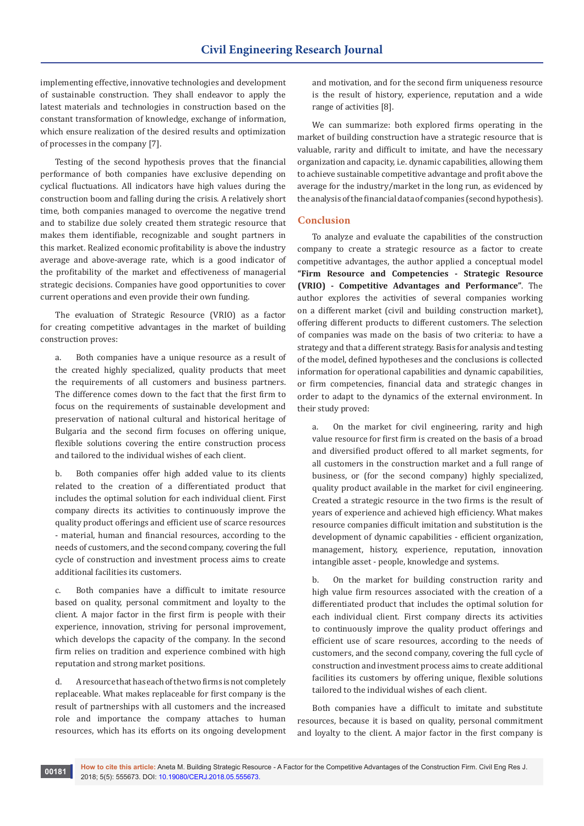implementing effective, innovative technologies and development of sustainable construction. They shall endeavor to apply the latest materials and technologies in construction based on the constant transformation of knowledge, exchange of information, which ensure realization of the desired results and optimization of processes in the company [7].

Testing of the second hypothesis proves that the financial performance of both companies have exclusive depending on cyclical fluctuations. All indicators have high values during the construction boom and falling during the crisis. A relatively short time, both companies managed to overcome the negative trend and to stabilize due solely created them strategic resource that makes them identifiable, recognizable and sought partners in this market. Realized economic profitability is above the industry average and above-average rate, which is a good indicator of the profitability of the market and effectiveness of managerial strategic decisions. Companies have good opportunities to cover current operations and even provide their own funding.

The evaluation of Strategic Resource (VRIO) as a factor for creating competitive advantages in the market of building construction proves:

a. Both companies have a unique resource as a result of the created highly specialized, quality products that meet the requirements of all customers and business partners. The difference comes down to the fact that the first firm to focus on the requirements of sustainable development and preservation of national cultural and historical heritage of Bulgaria and the second firm focuses on offering unique, flexible solutions covering the entire construction process and tailored to the individual wishes of each client.

b. Both companies offer high added value to its clients related to the creation of a differentiated product that includes the optimal solution for each individual client. First company directs its activities to continuously improve the quality product offerings and efficient use of scarce resources - material, human and financial resources, according to the needs of customers, and the second company, covering the full cycle of construction and investment process aims to create additional facilities its customers.

c. Both companies have a difficult to imitate resource based on quality, personal commitment and loyalty to the client. A major factor in the first firm is people with their experience, innovation, striving for personal improvement, which develops the capacity of the company. In the second firm relies on tradition and experience combined with high reputation and strong market positions.

d. A resource that has each of the two firms is not completely replaceable. What makes replaceable for first company is the result of partnerships with all customers and the increased role and importance the company attaches to human resources, which has its efforts on its ongoing development

and motivation, and for the second firm uniqueness resource is the result of history, experience, reputation and a wide range of activities [8].

We can summarize: both explored firms operating in the market of building construction have a strategic resource that is valuable, rarity and difficult to imitate, and have the necessary organization and capacity, i.e. dynamic capabilities, allowing them to achieve sustainable competitive advantage and profit above the average for the industry/market in the long run, as evidenced by the analysis of the financial data of companies (second hypothesis).

### **Conclusion**

To analyze and evaluate the capabilities of the construction company to create a strategic resource as a factor to create competitive advantages, the author applied a conceptual model **"Firm Resource and Competencies - Strategic Resource (VRIO) - Competitive Advantages and Performance"**. The author explores the activities of several companies working on a different market (civil and building construction market), offering different products to different customers. The selection of companies was made on the basis of two criteria: to have a strategy and that a different strategy. Basis for analysis and testing of the model, defined hypotheses and the conclusions is collected information for operational capabilities and dynamic capabilities, or firm competencies, financial data and strategic changes in order to adapt to the dynamics of the external environment. In their study proved:

a. On the market for civil engineering, rarity and high value resource for first firm is created on the basis of a broad and diversified product offered to all market segments, for all customers in the construction market and a full range of business, or (for the second company) highly specialized, quality product available in the market for civil engineering. Created a strategic resource in the two firms is the result of years of experience and achieved high efficiency. What makes resource companies difficult imitation and substitution is the development of dynamic capabilities - efficient organization, management, history, experience, reputation, innovation intangible asset - people, knowledge and systems.

b. On the market for building construction rarity and high value firm resources associated with the creation of a differentiated product that includes the optimal solution for each individual client. First company directs its activities to continuously improve the quality product offerings and efficient use of scare resources, according to the needs of customers, and the second company, covering the full cycle of construction and investment process aims to create additional facilities its customers by offering unique, flexible solutions tailored to the individual wishes of each client.

Both companies have a difficult to imitate and substitute resources, because it is based on quality, personal commitment and loyalty to the client. A major factor in the first company is